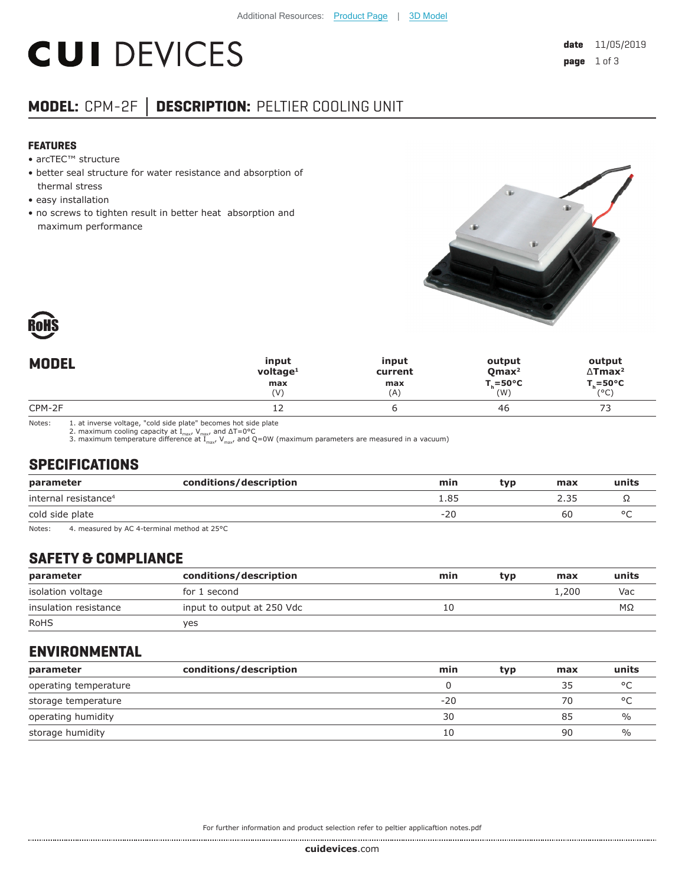# **CUI DEVICES**

# **MODEL:** CPM-2F **│ DESCRIPTION:** PELTIER COOLING UNIT

#### **FEATURES**

- arcTEC™ structure
- better seal structure for water resistance and absorption of thermal stress
- easy installation
- no screws to tighten result in better heat absorption and maximum performance





| <b>MODEL</b> | input                | input   | output              | output                     |
|--------------|----------------------|---------|---------------------|----------------------------|
|              | voltage <sup>1</sup> | current | Qmax <sup>2</sup>   | $\Delta$ Tmax <sup>2</sup> |
|              | max                  | max     | $T_c = 50^{\circ}C$ | $T_c = 50^{\circ}C$        |
|              | (V)                  | (A)     | (W)                 | (°C)                       |
| CPM-2F       | ᅩᄼ                   |         | -46                 | --<br>ັ                    |

Notes: 1. at inverse voltage, "cold side plate" becomes hot side plate<br>2. maximum cooling capacity at I<sub>max</sub>, V<sub>max</sub>, and  $\Delta T=0^{\circ}C$ <br>3. maximum temperature difference at I<sub>max</sub>, V<sub>max</sub>, and Q=0W (maximum parameters are

# **SPECIFICATIONS**

| parameter                        | conditions/description | min   | tvp | max | units   |
|----------------------------------|------------------------|-------|-----|-----|---------|
| internal resistance <sup>4</sup> |                        | 1.85  |     |     |         |
| cold side plate                  |                        | $-20$ |     | 60  | $\circ$ |

Notes: 4. measured by AC 4-terminal method at 25°C

# **SAFETY & COMPLIANCE**

| parameter             | conditions/description     | min | tvp | max   | units |
|-----------------------|----------------------------|-----|-----|-------|-------|
| isolation voltage     | for 1 second               |     |     | 1.200 | Vac   |
| insulation resistance | input to output at 250 Vdc | 10  |     |       | MΩ    |
| <b>RoHS</b>           | ves                        |     |     |       |       |

#### **ENVIRONMENTAL**

| parameter             | conditions/description | min   | typ | max | units   |
|-----------------------|------------------------|-------|-----|-----|---------|
| operating temperature |                        |       |     | 35  | $\circ$ |
| storage temperature   |                        | $-20$ |     | 70  | $\circ$ |
| operating humidity    |                        | 30    |     | 85  | %       |
| storage humidity      |                        | 10    |     | 90  | %       |

For further information and product selection refer to peltier applicaftion notes.pdf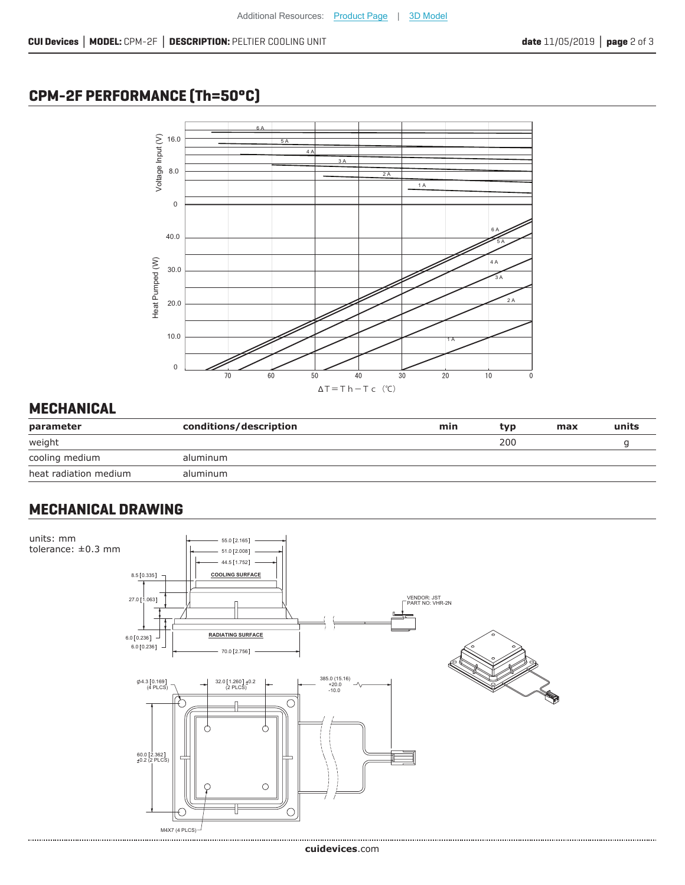# **CPM-2F PERFORMANCE (Th=50°C)**



# **MECHANICAL**

| parameter             | conditions/description | min | tvp | max | units |
|-----------------------|------------------------|-----|-----|-----|-------|
| weight                |                        |     | 200 |     |       |
| cooling medium        | aluminum               |     |     |     |       |
| heat radiation medium | aluminum               |     |     |     |       |

# **MECHANICAL DRAWING**